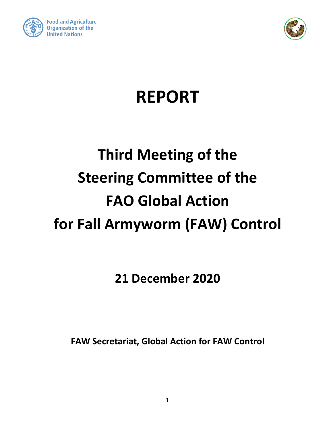



## **REPORT**

# **Third Meeting of the Steering Committee of the FAO Global Action for Fall Armyworm (FAW) Control**

**21 December 2020**

**FAW Secretariat, Global Action for FAW Control**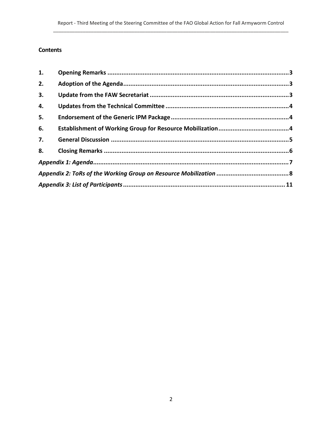## **Contents**

| 1. |  |
|----|--|
| 2. |  |
| 3. |  |
| 4. |  |
| 5. |  |
| 6. |  |
| 7. |  |
| 8. |  |
|    |  |
|    |  |
|    |  |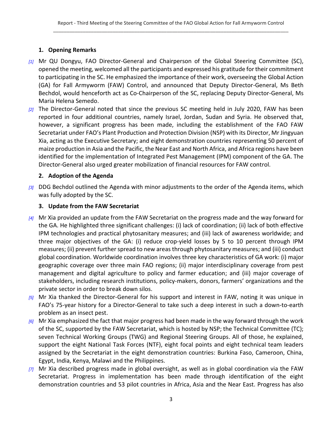## <span id="page-2-0"></span>**1. Opening Remarks**

- *[1]* Mr QU Dongyu, FAO Director-General and Chairperson of the Global Steering Committee (SC), opened the meeting, welcomed all the participants and expressed his gratitude for their commitment to participating in the SC. He emphasized the importance of their work, overseeing the Global Action (GA) for Fall Armyworm (FAW) Control, and announced that Deputy Director-General, Ms Beth Bechdol, would henceforth act as Co-Chairperson of the SC, replacing Deputy Director-General, Ms Maria Helena Semedo.
- *[2]* The Director-General noted that since the previous SC meeting held in July 2020, FAW has been reported in four additional countries, namely Israel, Jordan, Sudan and Syria. He observed that, however, a significant progress has been made, including the establishment of the FAO FAW Secretariat under FAO's Plant Production and Protection Division (NSP) with its Director, Mr Jingyuan Xia, acting as the Executive Secretary; and eight demonstration countries representing 50 percent of maize production in Asia and the Pacific, the Near East and North Africa, and Africa regions have been identified for the implementation of Integrated Pest Management (IPM) component of the GA. The Director-General also urged greater mobilization of financial resources for FAW control.

## <span id="page-2-1"></span>**2. Adoption of the Agenda**

*[3]* DDG Bechdol outlined the Agenda with minor adjustments to the order of the Agenda items, which was fully adopted by the SC.

## <span id="page-2-2"></span>**3. Update from the FAW Secretariat**

- *[4]* Mr Xia provided an update from the FAW Secretariat on the progress made and the way forward for the GA. He highlighted three significant challenges: (i) lack of coordination; (ii) lack of both effective IPM technologies and practical phytosanitary measures; and (iii) lack of awareness worldwide; and three major objectives of the GA: (i) reduce crop-yield losses by 5 to 10 percent through IPM measures; (ii) prevent further spread to new areas through phytosanitary measures; and (iii) conduct global coordination. Worldwide coordination involves three key characteristics of GA work: (i) major geographic coverage over three main FAO regions; (ii) major interdisciplinary coverage from pest management and digital agriculture to policy and farmer education; and (iii) major coverage of stakeholders, including research institutions, policy-makers, donors, farmers' organizations and the private sector in order to break down silos.
- *[5]* Mr Xia thanked the Director-General for his support and interest in FAW, noting it was unique in FAO's 75-year history for a Director-General to take such a deep interest in such a down-to-earth problem as an insect pest.
- *[6]* Mr Xia emphasized the fact that major progress had been made in the way forward through the work of the SC, supported by the FAW Secretariat, which is hosted by NSP; the Technical Committee (TC); seven Technical Working Groups (TWG) and Regional Steering Groups. All of those, he explained, support the eight National Task Forces (NTF), eight focal points and eight technical team leaders assigned by the Secretariat in the eight demonstration countries: Burkina Faso, Cameroon, China, Egypt, India, Kenya, Malawi and the Philippines.
- *[7]* Mr Xia described progress made in global oversight, as well as in global coordination via the FAW Secretariat. Progress in implementation has been made through identification of the eight demonstration countries and 53 pilot countries in Africa, Asia and the Near East. Progress has also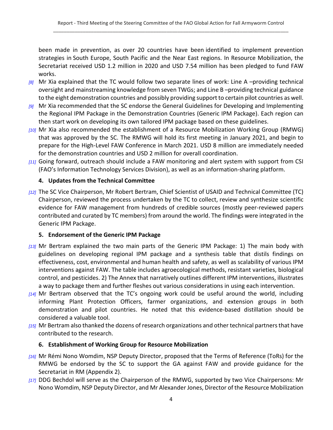been made in prevention, as over 20 countries have been identified to implement prevention strategies in South Europe, South Pacific and the Near East regions. In Resource Mobilization, the Secretariat received USD 1.2 million in 2020 and USD 7.54 million has been pledged to fund FAW works.

- *[8]* Mr Xia explained that the TC would follow two separate lines of work: Line A –providing technical oversight and mainstreaming knowledge from seven TWGs; and Line B –providing technical guidance to the eight demonstration countries and possibly providing support to certain pilot countries as well.
- *[9]* Mr Xia recommended that the SC endorse the General Guidelines for Developing and Implementing the Regional IPM Package in the Demonstration Countries (Generic IPM Package). Each region can then start work on developing its own tailored IPM package based on these guidelines.
- *[10]* Mr Xia also recommended the establishment of a Resource Mobilization Working Group (RMWG) that was approved by the SC. The RMWG will hold its first meeting in January 2021, and begin to prepare for the High-Level FAW Conference in March 2021. USD 8 million are immediately needed for the demonstration countries and USD 2 million for overall coordination.
- *[11]* Going forward, outreach should include a FAW monitoring and alert system with support from CSI (FAO's Information Technology Services Division), as well as an information-sharing platform.

## <span id="page-3-0"></span>**4. Updates from the Technical Committee**

*[12]* The SC Vice Chairperson, Mr Robert Bertram, Chief Scientist of USAID and Technical Committee (TC) Chairperson, reviewed the process undertaken by the TC to collect, review and synthesize scientific evidence for FAW management from hundreds of credible sources (mostly peer-reviewed papers contributed and curated by TC members) from around the world. The findings were integrated in the Generic IPM Package.

## <span id="page-3-1"></span>**5. Endorsement of the Generic IPM Package**

- *[13]* Mr Bertram explained the two main parts of the Generic IPM Package: 1) The main body with guidelines on developing regional IPM package and a synthesis table that distils findings on effectiveness, cost, environmental and human health and safety, as well as scalability of various IPM interventions against FAW. The table includes agroecological methods, resistant varieties, biological control, and pesticides. 2) The Annex that narratively outlines different IPM interventions, illustrates a way to package them and further fleshes out various considerations in using each intervention.
- *[14]* Mr Bertram observed that the TC's ongoing work could be useful around the world, including informing Plant Protection Officers, farmer organizations, and extension groups in both demonstration and pilot countries. He noted that this evidence-based distillation should be considered a valuable tool.
- *[15]* Mr Bertram also thanked the dozens of research organizations and other technical partners that have contributed to the research.

## <span id="page-3-2"></span>**6. Establishment of Working Group for Resource Mobilization**

- *[16]* Mr Rémi Nono Womdim, NSP Deputy Director, proposed that the Terms of Reference (ToRs) for the RMWG be endorsed by the SC to support the GA against FAW and provide guidance for the Secretariat in RM (Appendix 2).
- *[17]* DDG Bechdol will serve as the Chairperson of the RMWG, supported by two Vice Chairpersons: Mr Nono Womdim, NSP Deputy Director, and Mr Alexander Jones, Director of the Resource Mobilization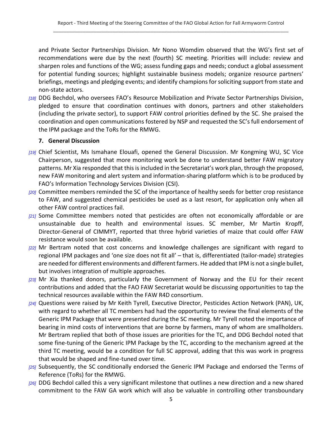and Private Sector Partnerships Division. Mr Nono Womdim observed that the WG's first set of recommendations were due by the next (fourth) SC meeting. Priorities will include: review and sharpen roles and functions of the WG; assess funding gaps and needs; conduct a global assessment for potential funding sources; highlight sustainable business models; organize resource partners' briefings, meetings and pledging events; and identify championsfor soliciting support from state and non-state actors.

*[18]* DDG Bechdol, who oversees FAO's Resource Mobilization and Private Sector Partnerships Division, pledged to ensure that coordination continues with donors, partners and other stakeholders (including the private sector), to support FAW control priorities defined by the SC. She praised the coordination and open communications fostered by NSP and requested the SC's full endorsement of the IPM package and the ToRs for the RMWG.

#### <span id="page-4-0"></span>**7. General Discussion**

- *[19]* Chief Scientist, Ms Ismahane Elouafi, opened the General Discussion. Mr Kongming WU, SC Vice Chairperson, suggested that more monitoring work be done to understand better FAW migratory patterns. Mr Xia responded that this is included in the Secretariat's work plan, through the proposed, new FAW monitoring and alert system and information-sharing platform which is to be produced by FAO's Information Technology Services Division (CSI).
- *[20]* Committee members reminded the SC of the importance of healthy seeds for better crop resistance to FAW, and suggested chemical pesticides be used as a last resort, for application only when all other FAW control practices fail.
- *[21]* Some Committee members noted that pesticides are often not economically affordable or are unsustainable due to health and environmental issues. SC member, Mr Martin Kropff, Director-General of CIMMYT, reported that three hybrid varieties of maize that could offer FAW resistance would soon be available.
- *[22]* Mr Bertram noted that cost concerns and knowledge challenges are significant with regard to regional IPM packages and 'one size does not fit all' – that is, differentiated (tailor-made) strategies are needed for different environments and different farmers. He added that IPM is not a single bullet, but involves integration of multiple approaches.
- *[23]* Mr Xia thanked donors, particularly the Government of Norway and the EU for their recent contributions and added that the FAO FAW Secretariat would be discussing opportunities to tap the technical resources available within the FAW R4D consortium.
- *[24]* Questions were raised by Mr Keith Tyrell, Executive Director, Pesticides Action Network (PAN), UK, with regard to whether all TC members had had the opportunity to review the final elements of the Generic IPM Package that were presented during the SC meeting. Mr Tyrell noted the importance of bearing in mind costs of interventions that are borne by farmers, many of whom are smallholders. Mr Bertram replied that both of those issues are priorities for the TC, and DDG Bechdol noted that some fine-tuning of the Generic IPM Package by the TC, according to the mechanism agreed at the third TC meeting, would be a condition for full SC approval, adding that this was work in progress that would be shaped and fine-tuned over time.
- *[25]* Subsequently, the SC conditionally endorsed the Generic IPM Package and endorsed the Terms of Reference (ToRs) for the RMWG.
- *[26]* DDG Bechdol called this a very significant milestone that outlines a new direction and a new shared commitment to the FAW GA work which will also be valuable in controlling other transboundary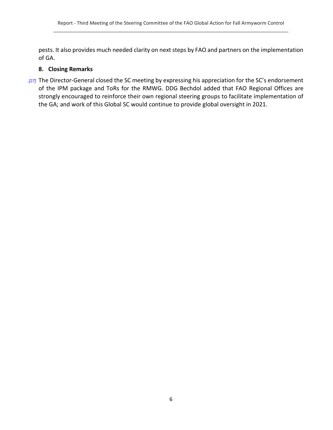pests. It also provides much needed clarity on next steps by FAO and partners on the implementation of GA.

## <span id="page-5-0"></span>**8. Closing Remarks**

*[27]* The Director-General closed the SC meeting by expressing his appreciation for the SC's endorsement of the IPM package and ToRs for the RMWG. DDG Bechdol added that FAO Regional Offices are strongly encouraged to reinforce their own regional steering groups to facilitate implementation of the GA; and work of this Global SC would continue to provide global oversight in 2021.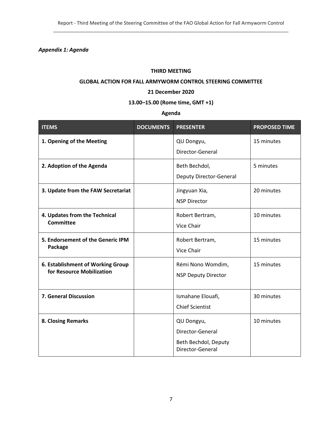<span id="page-6-0"></span>*Appendix 1: Agenda*

#### **THIRD MEETING**

#### **GLOBAL ACTION FOR FALL ARMYWORM CONTROL STEERING COMMITTEE**

#### **21 December 2020**

## **13.00–15.00 (Rome time, GMT +1)**

## **Agenda**

| <b>ITEMS</b>                                                   | <b>DOCUMENTS</b> | <b>PRESENTER</b>                                                           | <b>PROPOSED TIME</b> |
|----------------------------------------------------------------|------------------|----------------------------------------------------------------------------|----------------------|
| 1. Opening of the Meeting                                      |                  | QU Dongyu,<br>Director-General                                             | 15 minutes           |
| 2. Adoption of the Agenda                                      |                  | Beth Bechdol,<br><b>Deputy Director-General</b>                            | 5 minutes            |
| 3. Update from the FAW Secretariat                             |                  | Jingyuan Xia,<br><b>NSP Director</b>                                       | 20 minutes           |
| 4. Updates from the Technical<br><b>Committee</b>              |                  | Robert Bertram,<br>Vice Chair                                              | 10 minutes           |
| 5. Endorsement of the Generic IPM<br>Package                   |                  | Robert Bertram,<br>Vice Chair                                              | 15 minutes           |
| 6. Establishment of Working Group<br>for Resource Mobilization |                  | Rémi Nono Womdim,<br><b>NSP Deputy Director</b>                            | 15 minutes           |
| 7. General Discussion                                          |                  | Ismahane Elouafi,<br><b>Chief Scientist</b>                                | 30 minutes           |
| <b>8. Closing Remarks</b>                                      |                  | QU Dongyu,<br>Director-General<br>Beth Bechdol, Deputy<br>Director-General | 10 minutes           |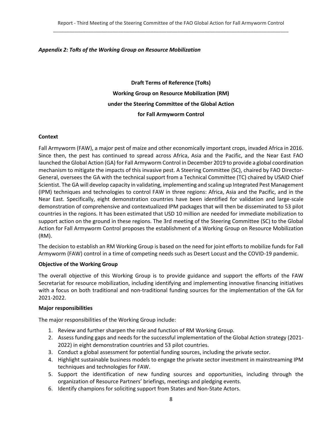#### <span id="page-7-0"></span>*Appendix 2: ToRs of the Working Group on Resource Mobilization*

**Draft Terms of Reference (ToRs) Working Group on Resource Mobilization (RM) under the Steering Committee of the Global Action for Fall Armyworm Control**

#### **Context**

Fall Armyworm (FAW), a major pest of maize and other economically important crops, invaded Africa in 2016. Since then, the pest has continued to spread across Africa, Asia and the Pacific, and the Near East FAO launched the Global Action (GA) for Fall Armyworm Control in December 2019 to provide a global coordination mechanism to mitigate the impacts of this invasive pest. A Steering Committee (SC), chaired by FAO Director-General, oversees the GA with the technical support from a Technical Committee (TC) chaired by USAID Chief Scientist. The GA will develop capacity in validating, implementing and scaling up Integrated Pest Management (IPM) techniques and technologies to control FAW in three regions: Africa, Asia and the Pacific, and in the Near East. Specifically, eight demonstration countries have been identified for validation and large-scale demonstration of comprehensive and contextualized IPM packages that will then be disseminated to 53 pilot countries in the regions. It has been estimated that USD 10 million are needed for immediate mobilization to support action on the ground in these regions. The 3rd meeting of the Steering Committee (SC) to the Global Action for Fall Armyworm Control proposes the establishment of a Working Group on Resource Mobilization (RM).

The decision to establish an RM Working Group is based on the need for joint efforts to mobilize funds for Fall Armyworm (FAW) control in a time of competing needs such as Desert Locust and the COVID-19 pandemic.

#### **Objective of the Working Group**

The overall objective of this Working Group is to provide guidance and support the efforts of the FAW Secretariat for resource mobilization, including identifying and implementing innovative financing initiatives with a focus on both traditional and non-traditional funding sources for the implementation of the GA for 2021-2022.

#### **Major responsibilities**

The major responsibilities of the Working Group include:

- 1. Review and further sharpen the role and function of RM Working Group.
- 2. Assess funding gaps and needs for the successful implementation of the Global Action strategy (2021- 2022) in eight demonstration countries and 53 pilot countries.
- 3. Conduct a global assessment for potential funding sources, including the private sector.
- 4. Highlight sustainable business models to engage the private sector investment in mainstreaming IPM techniques and technologies for FAW.
- 5. Support the identification of new funding sources and opportunities, including through the organization of Resource Partners' briefings, meetings and pledging events.
- 6. Identify champions for soliciting support from States and Non-State Actors.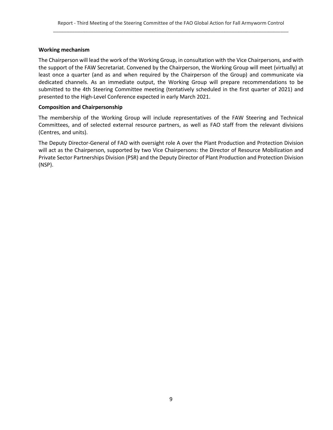#### **Working mechanism**

The Chairperson will lead the work of the Working Group, in consultation with the Vice Chairpersons, and with the support of the FAW Secretariat. Convened by the Chairperson, the Working Group will meet (virtually) at least once a quarter (and as and when required by the Chairperson of the Group) and communicate via dedicated channels. As an immediate output, the Working Group will prepare recommendations to be submitted to the 4th Steering Committee meeting (tentatively scheduled in the first quarter of 2021) and presented to the High-Level Conference expected in early March 2021.

#### **Composition and Chairpersonship**

The membership of the Working Group will include representatives of the FAW Steering and Technical Committees, and of selected external resource partners, as well as FAO staff from the relevant divisions (Centres, and units).

The Deputy Director-General of FAO with oversight role A over the Plant Production and Protection Division will act as the Chairperson, supported by two Vice Chairpersons: the Director of Resource Mobilization and Private Sector Partnerships Division (PSR) and the Deputy Director of Plant Production and Protection Division (NSP).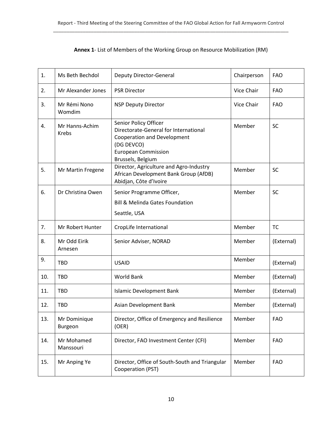| Annex 1- List of Members of the Working Group on Resource Mobilization (RM) |  |
|-----------------------------------------------------------------------------|--|
|-----------------------------------------------------------------------------|--|

| 1.  | Ms Beth Bechdol                | <b>Deputy Director-General</b>                                                                                                                                        | Chairperson | <b>FAO</b> |
|-----|--------------------------------|-----------------------------------------------------------------------------------------------------------------------------------------------------------------------|-------------|------------|
| 2.  | Mr Alexander Jones             | <b>PSR Director</b>                                                                                                                                                   | Vice Chair  | <b>FAO</b> |
| 3.  | Mr Rémi Nono<br>Womdim         | <b>NSP Deputy Director</b>                                                                                                                                            | Vice Chair  | <b>FAO</b> |
| 4.  | Mr Hanns-Achim<br><b>Krebs</b> | Senior Policy Officer<br>Directorate-General for International<br><b>Cooperation and Development</b><br>(DG DEVCO)<br><b>European Commission</b><br>Brussels, Belgium | Member      | <b>SC</b>  |
| 5.  | Mr Martin Fregene              | Director, Agriculture and Agro-Industry<br>African Development Bank Group (AfDB)<br>Abidjan, Côte d'Ivoire                                                            | Member      | <b>SC</b>  |
| 6.  | Dr Christina Owen              | Senior Programme Officer,<br><b>Bill &amp; Melinda Gates Foundation</b><br>Seattle, USA                                                                               | Member      | <b>SC</b>  |
| 7.  | Mr Robert Hunter               | CropLife International                                                                                                                                                | Member      | <b>TC</b>  |
| 8.  | Mr Odd Eirik<br>Arnesen        | Senior Adviser, NORAD                                                                                                                                                 | Member      | (External) |
| 9.  | <b>TBD</b>                     | <b>USAID</b>                                                                                                                                                          | Member      | (External) |
| 10. | <b>TBD</b>                     | <b>World Bank</b>                                                                                                                                                     | Member      | (External) |
| 11. | TBD                            | <b>Islamic Development Bank</b>                                                                                                                                       | Member      | (External) |
| 12. | <b>TBD</b>                     | Asian Development Bank                                                                                                                                                | Member      | (External) |
| 13. | Mr Dominique<br>Burgeon        | Director, Office of Emergency and Resilience<br>(OER)                                                                                                                 | Member      | <b>FAO</b> |
| 14. | Mr Mohamed<br>Manssouri        | Director, FAO Investment Center (CFI)                                                                                                                                 | Member      | <b>FAO</b> |
| 15. | Mr Anping Ye                   | Director, Office of South-South and Triangular<br>Cooperation (PST)                                                                                                   | Member      | <b>FAO</b> |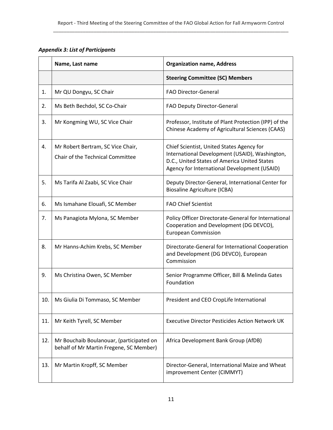<span id="page-10-0"></span>*Appendix 3: List of Participants*

|     | Name, Last name                                                                     | <b>Organization name, Address</b>                                                                                                                                                           |
|-----|-------------------------------------------------------------------------------------|---------------------------------------------------------------------------------------------------------------------------------------------------------------------------------------------|
|     |                                                                                     | <b>Steering Committee (SC) Members</b>                                                                                                                                                      |
| 1.  | Mr QU Dongyu, SC Chair                                                              | FAO Director-General                                                                                                                                                                        |
| 2.  | Ms Beth Bechdol, SC Co-Chair                                                        | FAO Deputy Director-General                                                                                                                                                                 |
| 3.  | Mr Kongming WU, SC Vice Chair                                                       | Professor, Institute of Plant Protection (IPP) of the<br>Chinese Academy of Agricultural Sciences (CAAS)                                                                                    |
| 4.  | Mr Robert Bertram, SC Vice Chair,<br>Chair of the Technical Committee               | Chief Scientist, United States Agency for<br>International Development (USAID), Washington,<br>D.C., United States of America United States<br>Agency for International Development (USAID) |
| 5.  | Ms Tarifa Al Zaabi, SC Vice Chair                                                   | Deputy Director-General, International Center for<br><b>Biosaline Agriculture (ICBA)</b>                                                                                                    |
| 6.  | Ms Ismahane Elouafi, SC Member                                                      | <b>FAO Chief Scientist</b>                                                                                                                                                                  |
| 7.  | Ms Panagiota Mylona, SC Member                                                      | Policy Officer Directorate-General for International<br>Cooperation and Development (DG DEVCO),<br><b>European Commission</b>                                                               |
| 8.  | Mr Hanns-Achim Krebs, SC Member                                                     | Directorate-General for International Cooperation<br>and Development (DG DEVCO), European<br>Commission                                                                                     |
| 9.  | Ms Christina Owen, SC Member                                                        | Senior Programme Officer, Bill & Melinda Gates<br>Foundation                                                                                                                                |
| 10. | Ms Giulia Di Tommaso, SC Member                                                     | President and CEO CropLife International                                                                                                                                                    |
| 11. | Mr Keith Tyrell, SC Member                                                          | <b>Executive Director Pesticides Action Network UK</b>                                                                                                                                      |
| 12. | Mr Bouchaib Boulanouar, (participated on<br>behalf of Mr Martin Fregene, SC Member) | Africa Development Bank Group (AfDB)                                                                                                                                                        |
| 13. | Mr Martin Kropff, SC Member                                                         | Director-General, International Maize and Wheat<br>improvement Center (CIMMYT)                                                                                                              |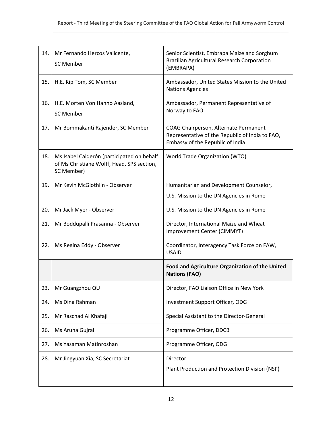| 14. | Mr Fernando Hercos Valicente,<br><b>SC Member</b>                                                      | Senior Scientist, Embrapa Maize and Sorghum<br><b>Brazilian Agricultural Research Corporation</b><br>(EMBRAPA)               |
|-----|--------------------------------------------------------------------------------------------------------|------------------------------------------------------------------------------------------------------------------------------|
| 15. | H.E. Kip Tom, SC Member                                                                                | Ambassador, United States Mission to the United<br><b>Nations Agencies</b>                                                   |
| 16. | H.E. Morten Von Hanno Aasland,<br><b>SC Member</b>                                                     | Ambassador, Permanent Representative of<br>Norway to FAO                                                                     |
| 17. | Mr Bommakanti Rajender, SC Member                                                                      | COAG Chairperson, Alternate Permanent<br>Representative of the Republic of India to FAO,<br>Embassy of the Republic of India |
| 18. | Ms Isabel Calderón (participated on behalf<br>of Ms Christiane Wolff, Head, SPS section,<br>SC Member) | World Trade Organization (WTO)                                                                                               |
| 19. | Mr Kevin McGlothlin - Observer                                                                         | Humanitarian and Development Counselor,                                                                                      |
|     |                                                                                                        | U.S. Mission to the UN Agencies in Rome                                                                                      |
| 20. | Mr Jack Myer - Observer                                                                                | U.S. Mission to the UN Agencies in Rome                                                                                      |
| 21. | Mr Boddupalli Prasanna - Observer                                                                      | Director, International Maize and Wheat<br>Improvement Center (CIMMYT)                                                       |
| 22. | Ms Regina Eddy - Observer                                                                              | Coordinator, Interagency Task Force on FAW,<br><b>USAID</b>                                                                  |
|     |                                                                                                        | Food and Agriculture Organization of the United<br><b>Nations (FAO)</b>                                                      |
| 23. | Mr Guangzhou QU                                                                                        | Director, FAO Liaison Office in New York                                                                                     |
| 24. | Ms Dina Rahman                                                                                         | Investment Support Officer, ODG                                                                                              |
| 25. | Mr Raschad Al Khafaji                                                                                  | Special Assistant to the Director-General                                                                                    |
| 26. | Ms Aruna Gujral                                                                                        | Programme Officer, DDCB                                                                                                      |
| 27. | Ms Yasaman Matinroshan                                                                                 | Programme Officer, ODG                                                                                                       |
| 28. | Mr Jingyuan Xia, SC Secretariat                                                                        | Director<br>Plant Production and Protection Division (NSP)                                                                   |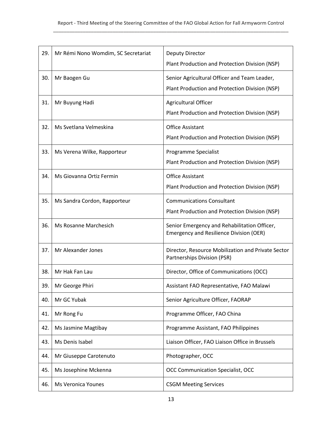| 29. | Mr Rémi Nono Womdim, SC Secretariat | <b>Deputy Director</b>                             |
|-----|-------------------------------------|----------------------------------------------------|
|     |                                     | Plant Production and Protection Division (NSP)     |
| 30. | Mr Baogen Gu                        | Senior Agricultural Officer and Team Leader,       |
|     |                                     | Plant Production and Protection Division (NSP)     |
|     |                                     |                                                    |
| 31. | Mr Buyung Hadi                      | Agricultural Officer                               |
|     |                                     | Plant Production and Protection Division (NSP)     |
| 32. | Ms Svetlana Velmeskina              | <b>Office Assistant</b>                            |
|     |                                     |                                                    |
|     |                                     | Plant Production and Protection Division (NSP)     |
| 33. | Ms Verena Wilke, Rapporteur         | Programme Specialist                               |
|     |                                     | Plant Production and Protection Division (NSP)     |
|     |                                     |                                                    |
| 34. | Ms Giovanna Ortiz Fermin            | <b>Office Assistant</b>                            |
|     |                                     | Plant Production and Protection Division (NSP)     |
| 35. | Ms Sandra Cordon, Rapporteur        | <b>Communications Consultant</b>                   |
|     |                                     | Plant Production and Protection Division (NSP)     |
|     |                                     |                                                    |
| 36. | Ms Rosanne Marchesich               | Senior Emergency and Rehabilitation Officer,       |
|     |                                     | <b>Emergency and Resilience Division (OER)</b>     |
| 37. | Mr Alexander Jones                  | Director, Resource Mobilization and Private Sector |
|     |                                     | Partnerships Division (PSR)                        |
|     |                                     |                                                    |
| 38. | Mr Hak Fan Lau                      | Director, Office of Communications (OCC)           |
| 39. | Mr George Phiri                     | Assistant FAO Representative, FAO Malawi           |
| 40. | Mr GC Yubak                         | Senior Agriculture Officer, FAORAP                 |
| 41. | Mr Rong Fu                          | Programme Officer, FAO China                       |
| 42. | Ms Jasmine Magtibay                 | Programme Assistant, FAO Philippines               |
| 43. | Ms Denis Isabel                     | Liaison Officer, FAO Liaison Office in Brussels    |
| 44. | Mr Giuseppe Carotenuto              | Photographer, OCC                                  |
| 45. | Ms Josephine Mckenna                | <b>OCC Communication Specialist, OCC</b>           |
| 46. | Ms Veronica Younes                  | <b>CSGM Meeting Services</b>                       |